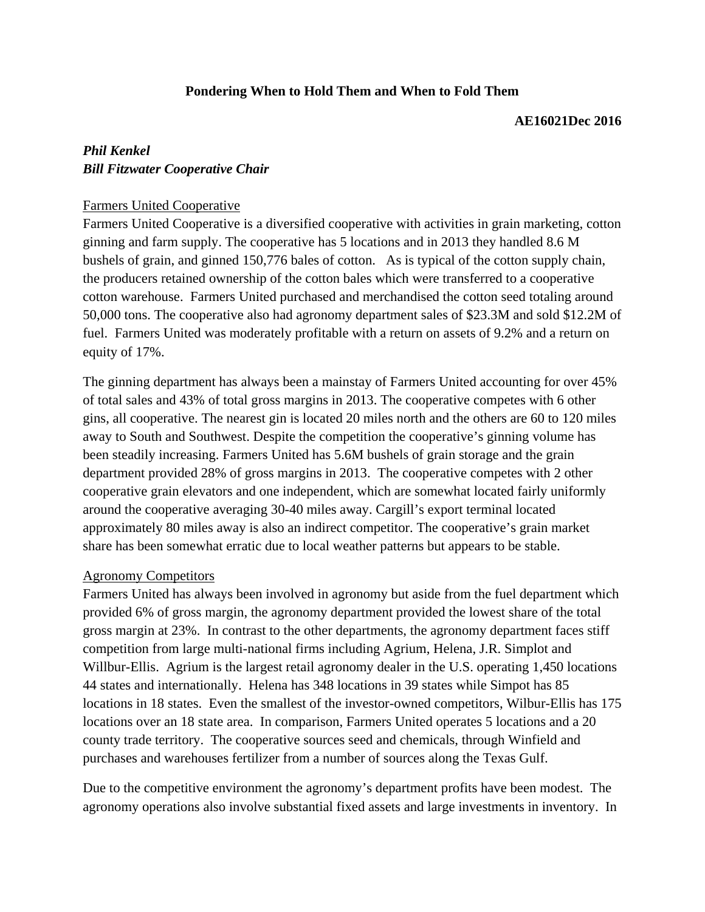## **Pondering When to Hold Them and When to Fold Them**

#### **AE16021Dec 2016**

# *Phil Kenkel Bill Fitzwater Cooperative Chair*

### Farmers United Cooperative

Farmers United Cooperative is a diversified cooperative with activities in grain marketing, cotton ginning and farm supply. The cooperative has 5 locations and in 2013 they handled 8.6 M bushels of grain, and ginned 150,776 bales of cotton. As is typical of the cotton supply chain, the producers retained ownership of the cotton bales which were transferred to a cooperative cotton warehouse. Farmers United purchased and merchandised the cotton seed totaling around 50,000 tons. The cooperative also had agronomy department sales of \$23.3M and sold \$12.2M of fuel. Farmers United was moderately profitable with a return on assets of 9.2% and a return on equity of 17%.

The ginning department has always been a mainstay of Farmers United accounting for over 45% of total sales and 43% of total gross margins in 2013. The cooperative competes with 6 other gins, all cooperative. The nearest gin is located 20 miles north and the others are 60 to 120 miles away to South and Southwest. Despite the competition the cooperative's ginning volume has been steadily increasing. Farmers United has 5.6M bushels of grain storage and the grain department provided 28% of gross margins in 2013. The cooperative competes with 2 other cooperative grain elevators and one independent, which are somewhat located fairly uniformly around the cooperative averaging 30-40 miles away. Cargill's export terminal located approximately 80 miles away is also an indirect competitor. The cooperative's grain market share has been somewhat erratic due to local weather patterns but appears to be stable.

#### Agronomy Competitors

Farmers United has always been involved in agronomy but aside from the fuel department which provided 6% of gross margin, the agronomy department provided the lowest share of the total gross margin at 23%. In contrast to the other departments, the agronomy department faces stiff competition from large multi-national firms including Agrium, Helena, J.R. Simplot and Willbur-Ellis. Agrium is the largest retail agronomy dealer in the U.S. operating 1,450 locations 44 states and internationally. Helena has 348 locations in 39 states while Simpot has 85 locations in 18 states. Even the smallest of the investor-owned competitors, Wilbur-Ellis has 175 locations over an 18 state area. In comparison, Farmers United operates 5 locations and a 20 county trade territory. The cooperative sources seed and chemicals, through Winfield and purchases and warehouses fertilizer from a number of sources along the Texas Gulf.

Due to the competitive environment the agronomy's department profits have been modest. The agronomy operations also involve substantial fixed assets and large investments in inventory. In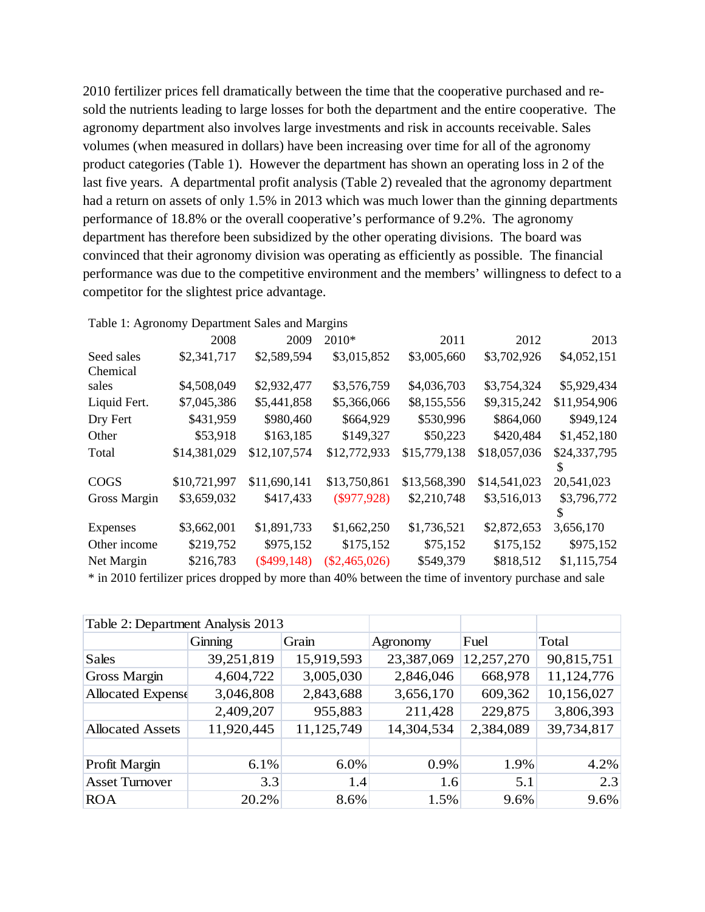2010 fertilizer prices fell dramatically between the time that the cooperative purchased and resold the nutrients leading to large losses for both the department and the entire cooperative. The agronomy department also involves large investments and risk in accounts receivable. Sales volumes (when measured in dollars) have been increasing over time for all of the agronomy product categories (Table 1). However the department has shown an operating loss in 2 of the last five years. A departmental profit analysis (Table 2) revealed that the agronomy department had a return on assets of only 1.5% in 2013 which was much lower than the ginning departments performance of 18.8% or the overall cooperative's performance of 9.2%. The agronomy department has therefore been subsidized by the other operating divisions. The board was convinced that their agronomy division was operating as efficiently as possible. The financial performance was due to the competitive environment and the members' willingness to defect to a competitor for the slightest price advantage.

|              | ruore 1:11, chom, Department Barco and Margino |               |                 |              |              |              |
|--------------|------------------------------------------------|---------------|-----------------|--------------|--------------|--------------|
|              | 2008                                           | 2009          | 2010*           | 2011         | 2012         | 2013         |
| Seed sales   | \$2,341,717                                    | \$2,589,594   | \$3,015,852     | \$3,005,660  | \$3,702,926  | \$4,052,151  |
| Chemical     |                                                |               |                 |              |              |              |
| sales        | \$4,508,049                                    | \$2,932,477   | \$3,576,759     | \$4,036,703  | \$3,754,324  | \$5,929,434  |
| Liquid Fert. | \$7,045,386                                    | \$5,441,858   | \$5,366,066     | \$8,155,556  | \$9,315,242  | \$11,954,906 |
| Dry Fert     | \$431,959                                      | \$980,460     | \$664,929       | \$530,996    | \$864,060    | \$949,124    |
| Other        | \$53,918                                       | \$163,185     | \$149,327       | \$50,223     | \$420,484    | \$1,452,180  |
| Total        | \$14,381,029                                   | \$12,107,574  | \$12,772,933    | \$15,779,138 | \$18,057,036 | \$24,337,795 |
|              |                                                |               |                 |              |              |              |
| <b>COGS</b>  | \$10,721,997                                   | \$11,690,141  | \$13,750,861    | \$13,568,390 | \$14,541,023 | 20,541,023   |
| Gross Margin | \$3,659,032                                    | \$417,433     | $(\$977,928)$   | \$2,210,748  | \$3,516,013  | \$3,796,772  |
|              |                                                |               |                 |              |              | S            |
| Expenses     | \$3,662,001                                    | \$1,891,733   | \$1,662,250     | \$1,736,521  | \$2,872,653  | 3,656,170    |
| Other income | \$219,752                                      | \$975,152     | \$175,152       | \$75,152     | \$175,152    | \$975,152    |
| Net Margin   | \$216,783                                      | $(\$499,148)$ | $(\$2,465,026)$ | \$549,379    | \$818,512    | \$1,115,754  |
|              |                                                |               |                 |              |              |              |

Table 1: Agronomy Department Sales and Margins

\* in 2010 fertilizer prices dropped by more than 40% between the time of inventory purchase and sale

| Table 2: Department Analysis 2013 |            |            |            |            |            |
|-----------------------------------|------------|------------|------------|------------|------------|
|                                   | Ginning    | Grain      | Agronomy   | Fuel       | Total      |
| Sales                             | 39,251,819 | 15,919,593 | 23,387,069 | 12,257,270 | 90,815,751 |
| Gross Margin                      | 4,604,722  | 3,005,030  | 2,846,046  | 668,978    | 11,124,776 |
| Allocated Expense                 | 3,046,808  | 2,843,688  | 3,656,170  | 609,362    | 10,156,027 |
|                                   | 2,409,207  | 955,883    | 211,428    | 229,875    | 3,806,393  |
| <b>Allocated Assets</b>           | 11,920,445 | 11,125,749 | 14,304,534 | 2,384,089  | 39,734,817 |
|                                   |            |            |            |            |            |
| Profit Margin                     | 6.1%       | 6.0%       | 0.9%       | 1.9%       | 4.2%       |
| <b>Asset Turnover</b>             | 3.3        | 1.4        | 1.6        | 5.1        | 2.3        |
| <b>ROA</b>                        | 20.2%      | 8.6%       | 1.5%       | 9.6%       | 9.6%       |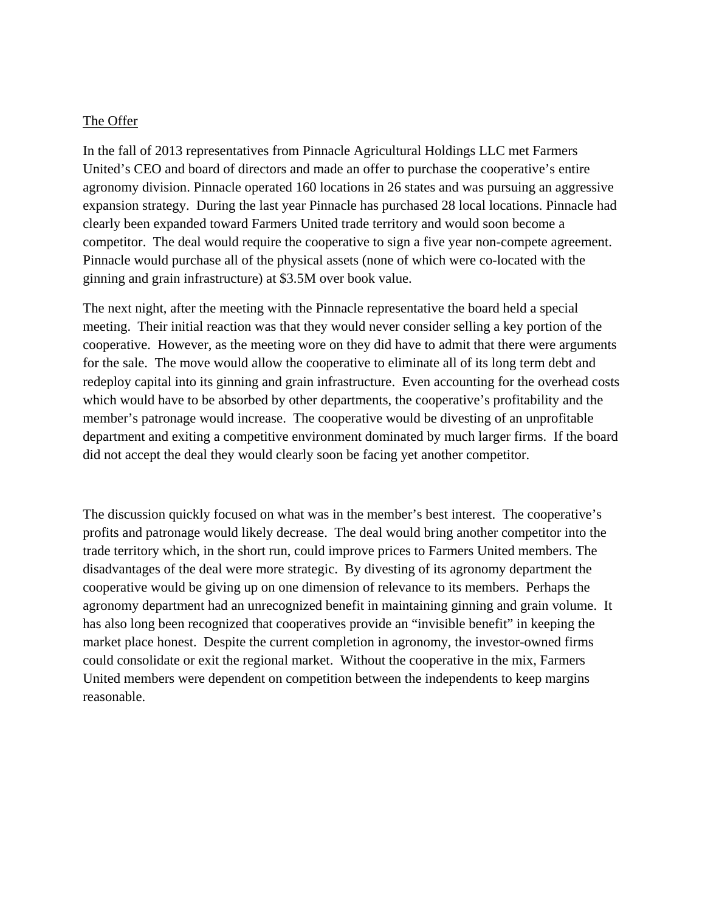#### The Offer

In the fall of 2013 representatives from Pinnacle Agricultural Holdings LLC met Farmers United's CEO and board of directors and made an offer to purchase the cooperative's entire agronomy division. Pinnacle operated 160 locations in 26 states and was pursuing an aggressive expansion strategy. During the last year Pinnacle has purchased 28 local locations. Pinnacle had clearly been expanded toward Farmers United trade territory and would soon become a competitor. The deal would require the cooperative to sign a five year non-compete agreement. Pinnacle would purchase all of the physical assets (none of which were co-located with the ginning and grain infrastructure) at \$3.5M over book value.

The next night, after the meeting with the Pinnacle representative the board held a special meeting. Their initial reaction was that they would never consider selling a key portion of the cooperative. However, as the meeting wore on they did have to admit that there were arguments for the sale. The move would allow the cooperative to eliminate all of its long term debt and redeploy capital into its ginning and grain infrastructure. Even accounting for the overhead costs which would have to be absorbed by other departments, the cooperative's profitability and the member's patronage would increase. The cooperative would be divesting of an unprofitable department and exiting a competitive environment dominated by much larger firms. If the board did not accept the deal they would clearly soon be facing yet another competitor.

The discussion quickly focused on what was in the member's best interest. The cooperative's profits and patronage would likely decrease. The deal would bring another competitor into the trade territory which, in the short run, could improve prices to Farmers United members. The disadvantages of the deal were more strategic. By divesting of its agronomy department the cooperative would be giving up on one dimension of relevance to its members. Perhaps the agronomy department had an unrecognized benefit in maintaining ginning and grain volume. It has also long been recognized that cooperatives provide an "invisible benefit" in keeping the market place honest. Despite the current completion in agronomy, the investor-owned firms could consolidate or exit the regional market. Without the cooperative in the mix, Farmers United members were dependent on competition between the independents to keep margins reasonable.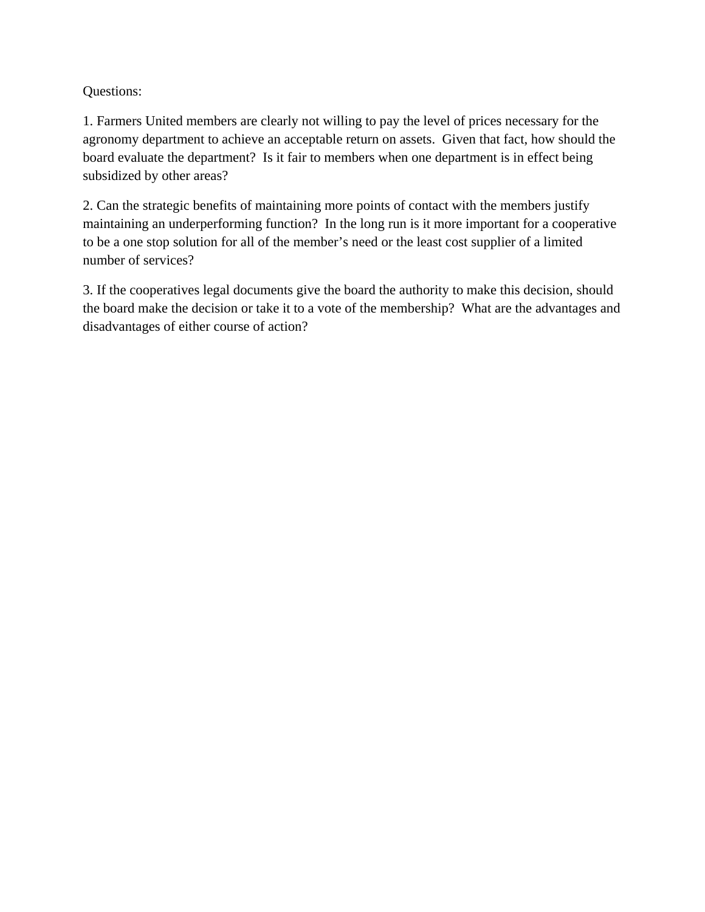## Questions:

1. Farmers United members are clearly not willing to pay the level of prices necessary for the agronomy department to achieve an acceptable return on assets. Given that fact, how should the board evaluate the department? Is it fair to members when one department is in effect being subsidized by other areas?

2. Can the strategic benefits of maintaining more points of contact with the members justify maintaining an underperforming function? In the long run is it more important for a cooperative to be a one stop solution for all of the member's need or the least cost supplier of a limited number of services?

3. If the cooperatives legal documents give the board the authority to make this decision, should the board make the decision or take it to a vote of the membership? What are the advantages and disadvantages of either course of action?